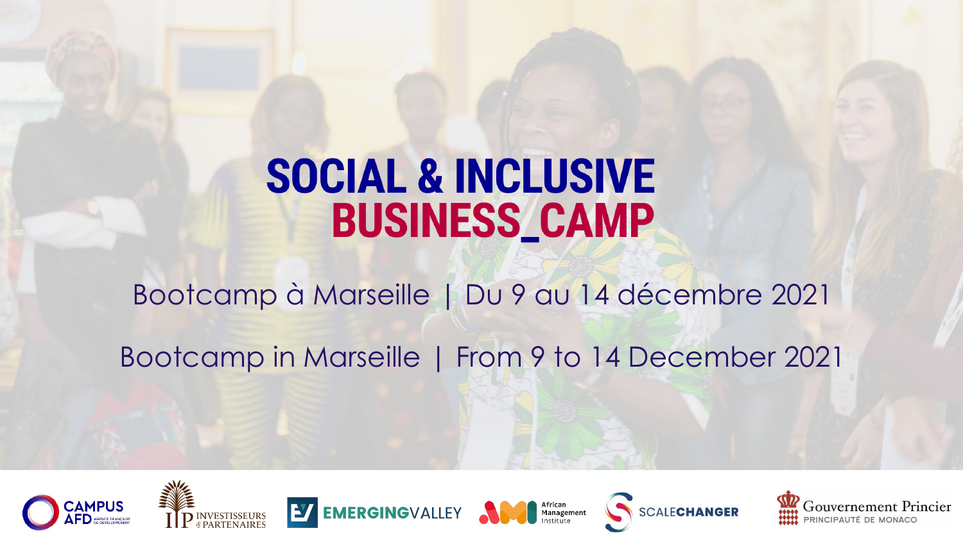# **SOCIAL & INCLUSIVE BUSINESS\_CAMP**

Bootcamp à Marseille | Du 9 au 14 décembre 2021

Bootcamp in Marseille | From 9 to 14 December 2021











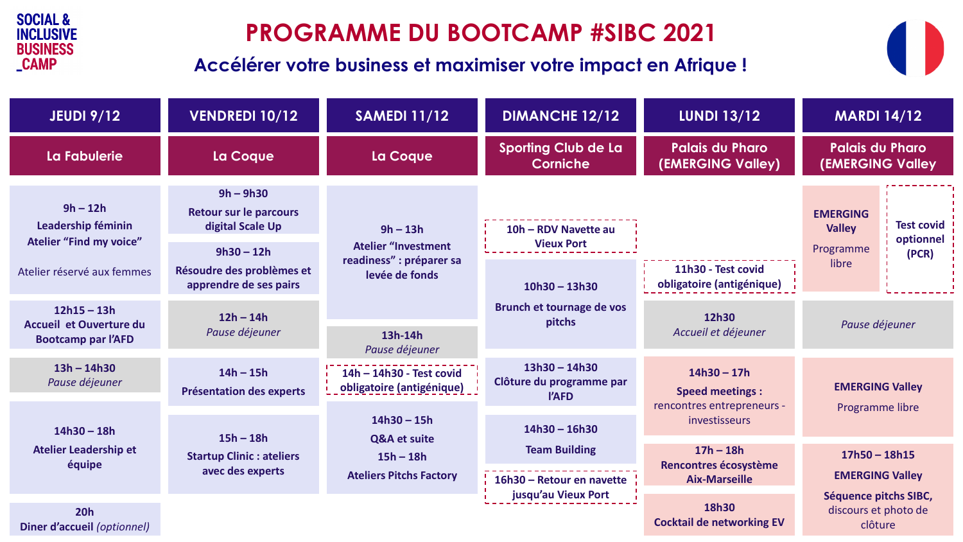

# **PROGRAMME DU BOOTCAMP #SIBC 2021**

#### **Accélérer votre business et maximiser votre impact en Afrique !**



| <b>JEUDI 9/12</b>                                                            | <b>VENDREDI 10/12</b>                                                            | <b>SAMEDI 11/12</b>                                                                    | <b>DIMANCHE 12/12</b>                                | <b>LUNDI 13/12</b>                                                    | <b>MARDI 14/12</b>                                                                       |  |
|------------------------------------------------------------------------------|----------------------------------------------------------------------------------|----------------------------------------------------------------------------------------|------------------------------------------------------|-----------------------------------------------------------------------|------------------------------------------------------------------------------------------|--|
| La Fabulerie                                                                 | La Coque                                                                         | La Coque                                                                               | <b>Sporting Club de La</b><br>Corniche               | <b>Palais du Pharo</b><br>(EMERGING Valley)                           | <b>Palais du Pharo</b><br><b>(EMERGING Valley</b>                                        |  |
| $9h - 12h$<br>Leadership féminin<br><b>Atelier "Find my voice"</b>           | $9h - 9h30$<br><b>Retour sur le parcours</b><br>digital Scale Up<br>$9h30 - 12h$ | $9h - 13h$<br><b>Atelier "Investment</b><br>readiness" : préparer sa<br>levée de fonds | 10h - RDV Navette au<br><b>Vieux Port</b>            |                                                                       | <b>EMERGING</b><br><b>Test covid</b><br><b>Valley</b><br>optionnel<br>Programme<br>(PCR) |  |
| Atelier réservé aux femmes                                                   | Résoudre des problèmes et<br>apprendre de ses pairs                              |                                                                                        | $10h30 - 13h30$                                      | 11h30 - Test covid<br>obligatoire (antigénique)                       | libre                                                                                    |  |
| $12h15 - 13h$<br><b>Accueil et Ouverture du</b><br><b>Bootcamp par l'AFD</b> | $12h - 14h$<br>Pause déjeuner                                                    | 13h-14h<br>Pause déjeuner                                                              | Brunch et tournage de vos<br>pitchs                  | 12h30<br>Accueil et déjeuner                                          | Pause déjeuner                                                                           |  |
| $13h - 14h30$<br>Pause déjeuner                                              | $14h - 15h$<br><b>Présentation des experts</b>                                   | 14h - 14h30 - Test covid<br>obligatoire (antigénique)                                  | $13h30 - 14h30$<br>Clôture du programme par<br>l'AFD | $14h30 - 17h$<br><b>Speed meetings:</b><br>rencontres entrepreneurs - | <b>EMERGING Valley</b><br>Programme libre                                                |  |
| $14h30 - 18h$<br><b>Atelier Leadership et</b><br>équipe                      | $15h - 18h$<br><b>Startup Clinic: ateliers</b><br>avec des experts               | $14h30 - 15h$<br>Q&A et suite<br>$15h - 18h$<br><b>Ateliers Pitchs Factory</b>         | $14h30 - 16h30$                                      | investisseurs                                                         |                                                                                          |  |
|                                                                              |                                                                                  |                                                                                        | <b>Team Building</b><br>16h30 - Retour en navette    | $17h - 18h$<br>Rencontres écosystème<br><b>Aix-Marseille</b>          | $17h50 - 18h15$<br><b>EMERGING Valley</b>                                                |  |
| 20h<br>Diner d'accueil (optionnel)                                           |                                                                                  |                                                                                        | jusqu'au Vieux Port                                  | 18h30<br><b>Cocktail de networking EV</b>                             | Séquence pitchs SIBC,<br>discours et photo de<br>clôture                                 |  |

**Diner d'accueil** *(optionnel)*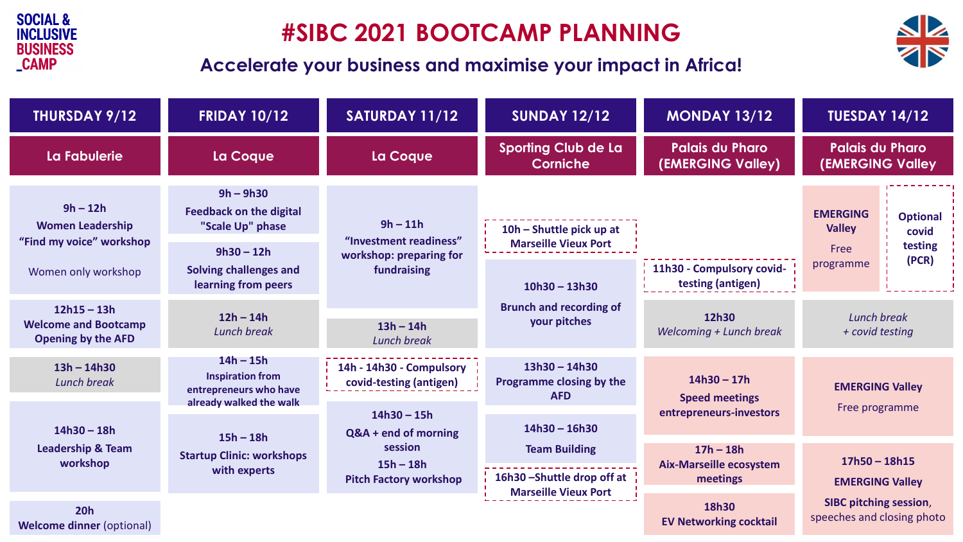

# **#SIBC 2021 BOOTCAMP PLANNING**



#### **Accelerate your business and maximise your impact in Africa!**

| THURSDAY 9/12                                                             | <b>FRIDAY 10/12</b>                                                                         | SATURDAY 11/12                                                                                   | <b>SUNDAY 12/12</b>                                                              | <b>MONDAY 13/12</b>                                       | <b>TUESDAY 14/12</b>                                        |                                              |
|---------------------------------------------------------------------------|---------------------------------------------------------------------------------------------|--------------------------------------------------------------------------------------------------|----------------------------------------------------------------------------------|-----------------------------------------------------------|-------------------------------------------------------------|----------------------------------------------|
| La Fabulerie                                                              | La Coque                                                                                    | La Coque                                                                                         | <b>Sporting Club de La</b><br><b>Corniche</b>                                    | <b>Palais du Pharo</b><br>(EMERGING Valley)               | <b>Palais du Pharo</b><br><b>(EMERGING Valley</b>           |                                              |
| $9h - 12h$<br><b>Women Leadership</b><br>"Find my voice" workshop         | $9h - 9h30$<br><b>Feedback on the digital</b><br>"Scale Up" phase<br>$9h30 - 12h$           | $9h - 11h$<br>"Investment readiness"<br>workshop: preparing for<br>fundraising                   | 10h – Shuttle pick up at<br><b>Marseille Vieux Port</b>                          |                                                           | <b>EMERGING</b><br><b>Valley</b><br>Free                    | <b>Optional</b><br>covid<br>testing<br>(PCR) |
| Women only workshop                                                       | <b>Solving challenges and</b><br>learning from peers                                        |                                                                                                  | $10h30 - 13h30$                                                                  | 11h30 - Compulsory covid-<br>testing (antigen)            | programme                                                   |                                              |
| $12h15 - 13h$<br><b>Welcome and Bootcamp</b><br><b>Opening by the AFD</b> | $12h - 14h$<br><b>Lunch break</b>                                                           | $13h - 14h$<br><b>Lunch break</b>                                                                | <b>Brunch and recording of</b><br>your pitches                                   | 12h30<br>Welcoming + Lunch break                          | Lunch break<br>+ covid testing                              |                                              |
| $13h - 14h30$<br><b>Lunch break</b>                                       | $14h - 15h$<br><b>Inspiration from</b><br>entrepreneurs who have<br>already walked the walk | 14h - 14h30 - Compulsory<br>covid-testing (antigen)                                              | $13h30 - 14h30$<br>Programme closing by the<br><b>AFD</b>                        | $14h30 - 17h$<br><b>Speed meetings</b>                    | <b>EMERGING Valley</b>                                      |                                              |
| $14h30 - 18h$<br><b>Leadership &amp; Team</b><br>workshop                 | $15h - 18h$<br><b>Startup Clinic: workshops</b><br>with experts                             | $14h30 - 15h$<br>Q&A + end of morning<br>session<br>$15h - 18h$<br><b>Pitch Factory workshop</b> | $14h30 - 16h30$                                                                  | entrepreneurs-investors                                   | Free programme                                              |                                              |
|                                                                           |                                                                                             |                                                                                                  | <b>Team Building</b><br>16h30-Shuttle drop off at<br><b>Marseille Vieux Port</b> | $17h - 18h$<br><b>Aix-Marseille ecosystem</b><br>meetings | $17h50 - 18h15$<br><b>EMERGING Valley</b>                   |                                              |
| 20h<br><b>Welcome dinner (optional)</b>                                   |                                                                                             |                                                                                                  |                                                                                  | 18h30<br><b>EV Networking cocktail</b>                    | <b>SIBC pitching session,</b><br>speeches and closing photo |                                              |